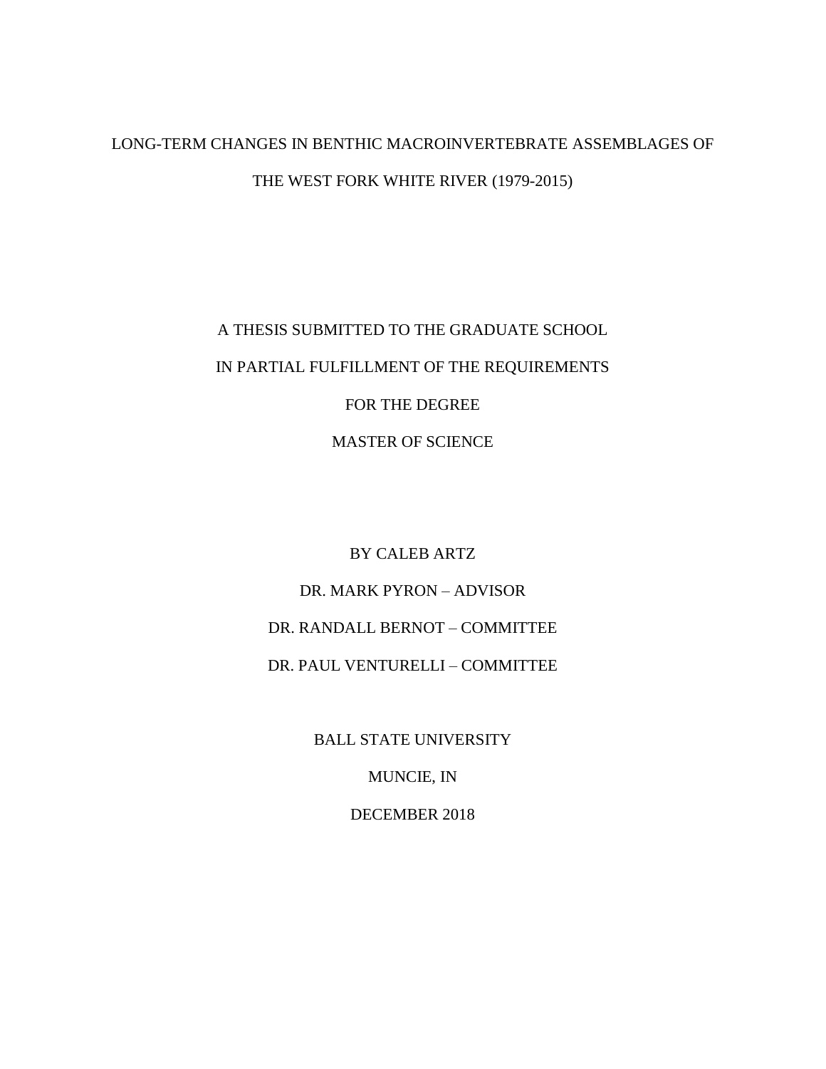# LONG-TERM CHANGES IN BENTHIC MACROINVERTEBRATE ASSEMBLAGES OF THE WEST FORK WHITE RIVER (1979-2015)

A THESIS SUBMITTED TO THE GRADUATE SCHOOL IN PARTIAL FULFILLMENT OF THE REQUIREMENTS FOR THE DEGREE MASTER OF SCIENCE

> BY CALEB ARTZ DR. MARK PYRON – ADVISOR DR. RANDALL BERNOT – COMMITTEE DR. PAUL VENTURELLI – COMMITTEE

> > BALL STATE UNIVERSITY

MUNCIE, IN

DECEMBER 2018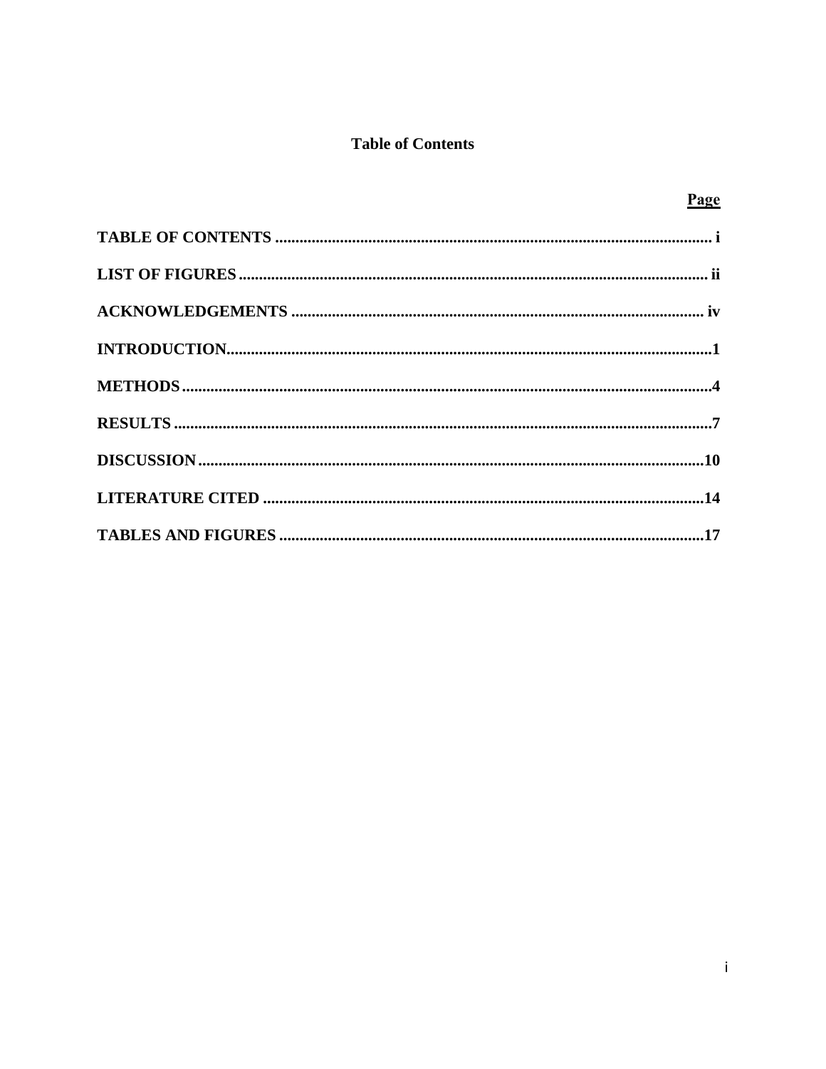# **Table of Contents**

| Page |
|------|
|      |
|      |
|      |
|      |
|      |
|      |
|      |
|      |
|      |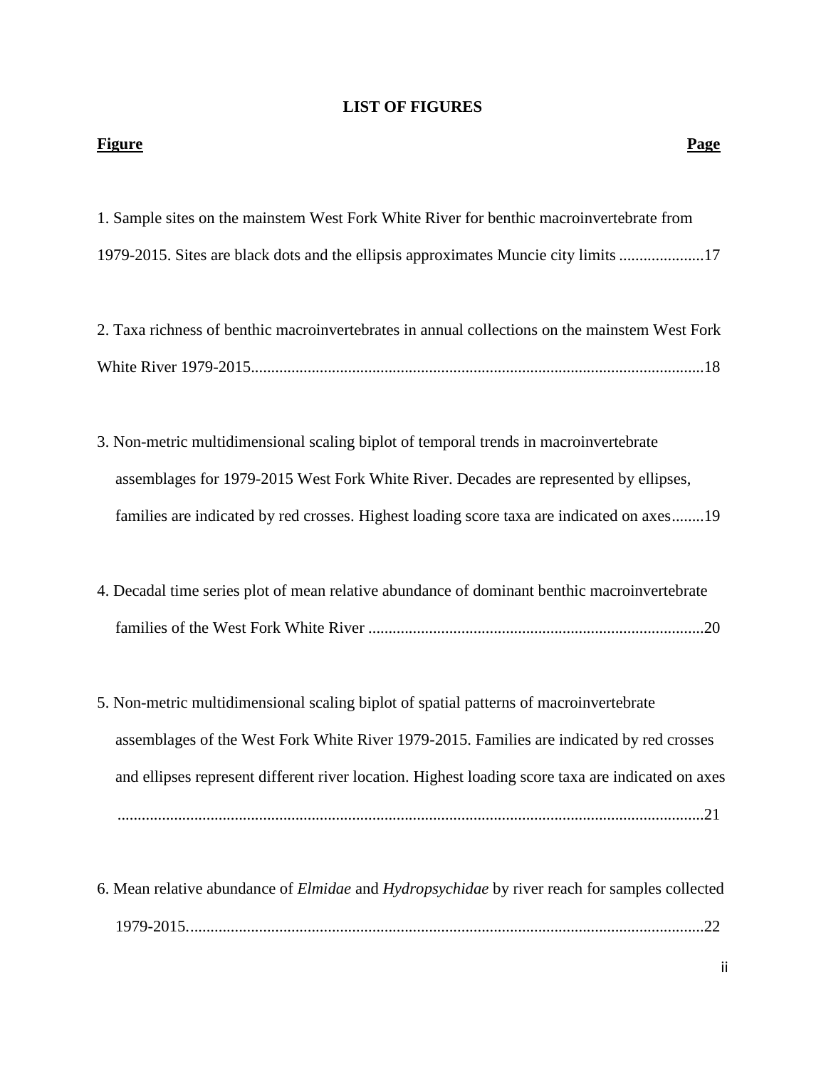# **LIST OF FIGURES**

| <b>Figure</b><br><b>Page</b>                                                                                                                                                                                                                                                             |
|------------------------------------------------------------------------------------------------------------------------------------------------------------------------------------------------------------------------------------------------------------------------------------------|
| 1. Sample sites on the mainstem West Fork White River for benthic macroinvertebrate from<br>1979-2015. Sites are black dots and the ellipsis approximates Muncie city limits 17                                                                                                          |
| 2. Taxa richness of benthic macroinvertebrates in annual collections on the mainstem West Fork                                                                                                                                                                                           |
| 3. Non-metric multidimensional scaling biplot of temporal trends in macroinvertebrate<br>assemblages for 1979-2015 West Fork White River. Decades are represented by ellipses,<br>families are indicated by red crosses. Highest loading score taxa are indicated on axes19              |
| 4. Decadal time series plot of mean relative abundance of dominant benthic macroinvertebrate                                                                                                                                                                                             |
| 5. Non-metric multidimensional scaling biplot of spatial patterns of macroinvertebrate<br>assemblages of the West Fork White River 1979-2015. Families are indicated by red crosses<br>and ellipses represent different river location. Highest loading score taxa are indicated on axes |
| 6. Mean relative abundance of <i>Elmidae</i> and <i>Hydropsychidae</i> by river reach for samples collected                                                                                                                                                                              |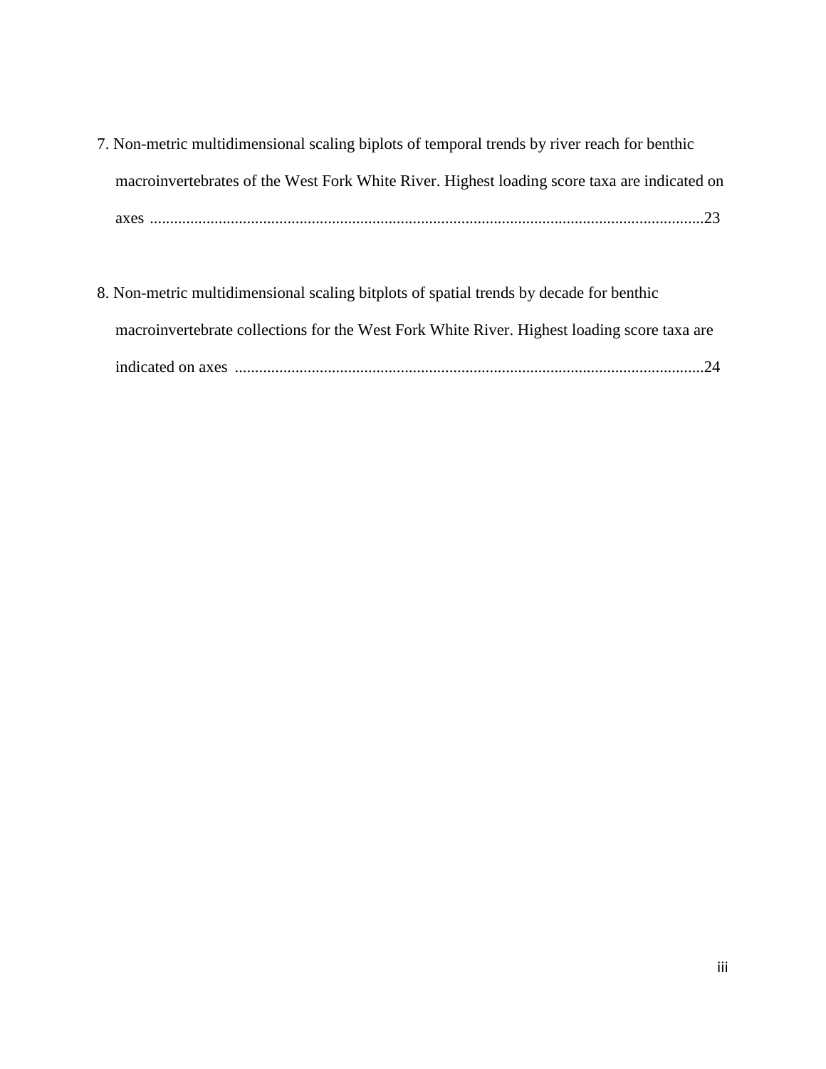- 7. Non-metric multidimensional scaling biplots of temporal trends by river reach for benthic macroinvertebrates of the West Fork White River. Highest loading score taxa are indicated on axes .........................................................................................................................................23
- 8. Non-metric multidimensional scaling bitplots of spatial trends by decade for benthic macroinvertebrate collections for the West Fork White River. Highest loading score taxa are indicated on axes ....................................................................................................................24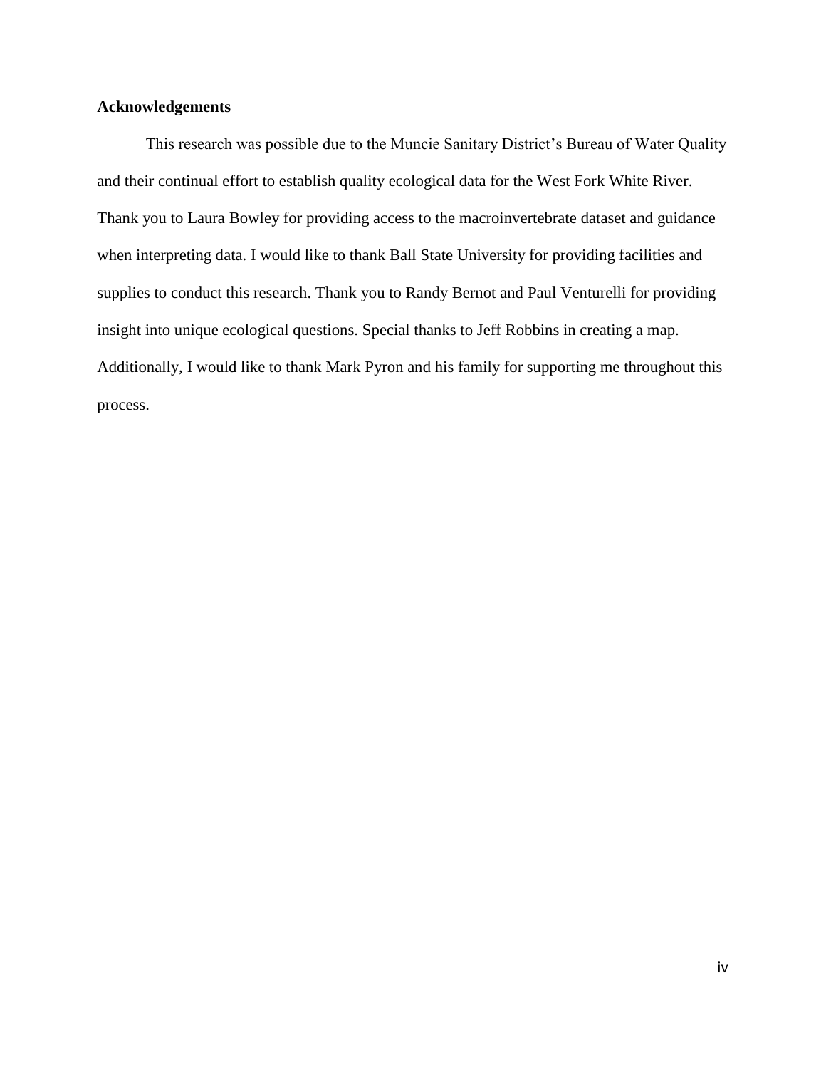## **Acknowledgements**

This research was possible due to the Muncie Sanitary District's Bureau of Water Quality and their continual effort to establish quality ecological data for the West Fork White River. Thank you to Laura Bowley for providing access to the macroinvertebrate dataset and guidance when interpreting data. I would like to thank Ball State University for providing facilities and supplies to conduct this research. Thank you to Randy Bernot and Paul Venturelli for providing insight into unique ecological questions. Special thanks to Jeff Robbins in creating a map. Additionally, I would like to thank Mark Pyron and his family for supporting me throughout this process.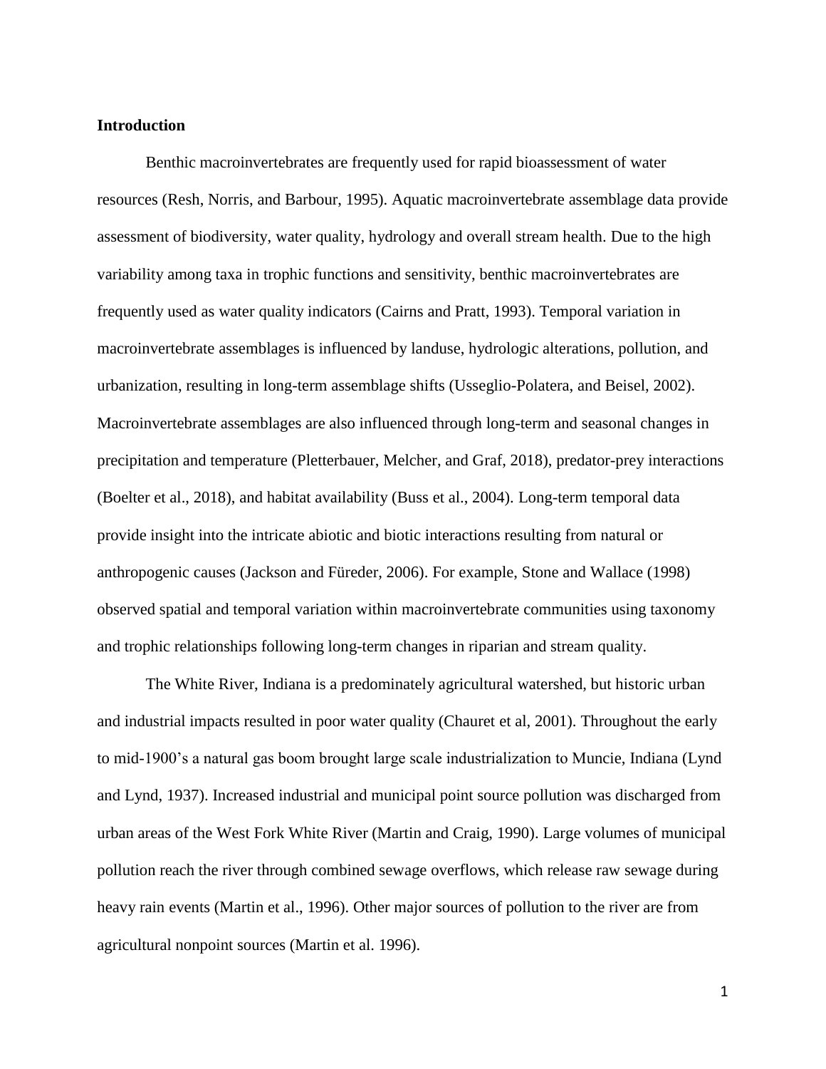#### **Introduction**

Benthic macroinvertebrates are frequently used for rapid bioassessment of water resources (Resh, Norris, and Barbour, 1995). Aquatic macroinvertebrate assemblage data provide assessment of biodiversity, water quality, hydrology and overall stream health. Due to the high variability among taxa in trophic functions and sensitivity, benthic macroinvertebrates are frequently used as water quality indicators (Cairns and Pratt, 1993). Temporal variation in macroinvertebrate assemblages is influenced by landuse, hydrologic alterations, pollution, and urbanization, resulting in long-term assemblage shifts (Usseglio-Polatera, and Beisel, 2002). Macroinvertebrate assemblages are also influenced through long-term and seasonal changes in precipitation and temperature (Pletterbauer, Melcher, and Graf, 2018), predator-prey interactions (Boelter et al., 2018), and habitat availability (Buss et al., 2004). Long-term temporal data provide insight into the intricate abiotic and biotic interactions resulting from natural or anthropogenic causes (Jackson and Füreder, 2006). For example, Stone and Wallace (1998) observed spatial and temporal variation within macroinvertebrate communities using taxonomy and trophic relationships following long-term changes in riparian and stream quality.

The White River, Indiana is a predominately agricultural watershed, but historic urban and industrial impacts resulted in poor water quality (Chauret et al, 2001). Throughout the early to mid-1900's a natural gas boom brought large scale industrialization to Muncie, Indiana (Lynd and Lynd, 1937). Increased industrial and municipal point source pollution was discharged from urban areas of the West Fork White River (Martin and Craig, 1990). Large volumes of municipal pollution reach the river through combined sewage overflows, which release raw sewage during heavy rain events (Martin et al., 1996). Other major sources of pollution to the river are from agricultural nonpoint sources (Martin et al. 1996).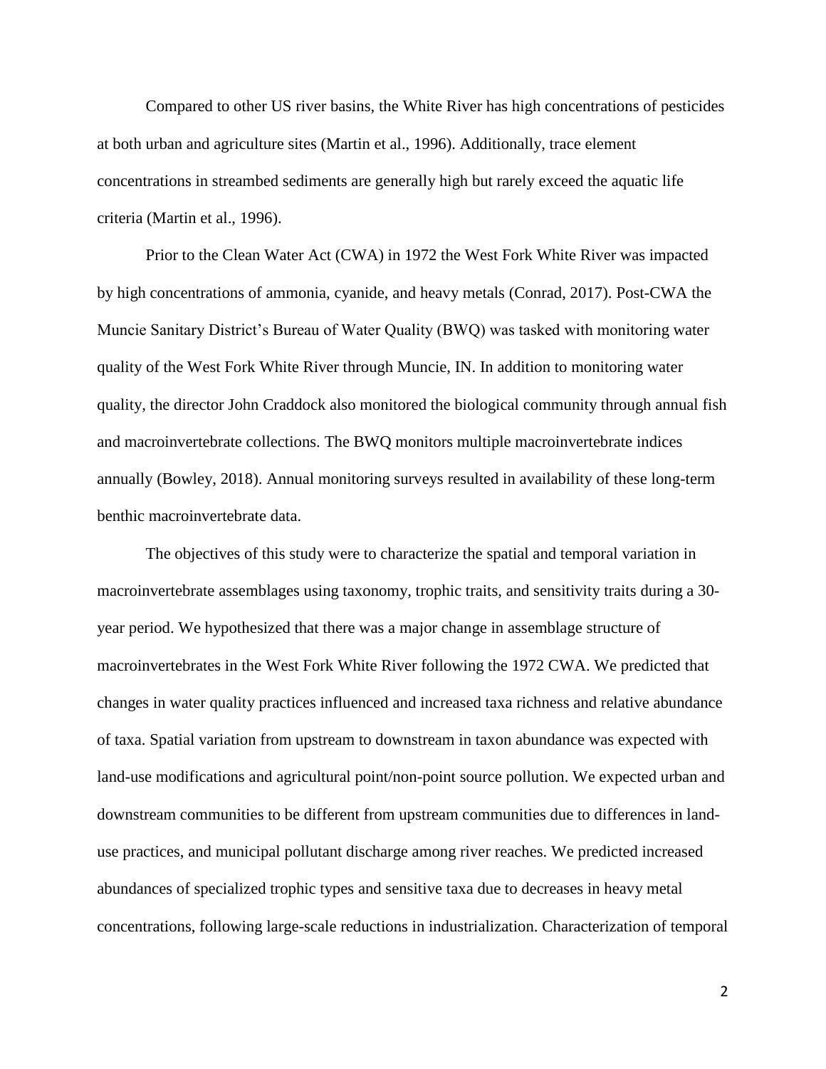Compared to other US river basins, the White River has high concentrations of pesticides at both urban and agriculture sites (Martin et al., 1996). Additionally, trace element concentrations in streambed sediments are generally high but rarely exceed the aquatic life criteria (Martin et al., 1996).

Prior to the Clean Water Act (CWA) in 1972 the West Fork White River was impacted by high concentrations of ammonia, cyanide, and heavy metals (Conrad, 2017). Post-CWA the Muncie Sanitary District's Bureau of Water Quality (BWQ) was tasked with monitoring water quality of the West Fork White River through Muncie, IN. In addition to monitoring water quality, the director John Craddock also monitored the biological community through annual fish and macroinvertebrate collections. The BWQ monitors multiple macroinvertebrate indices annually (Bowley, 2018). Annual monitoring surveys resulted in availability of these long-term benthic macroinvertebrate data.

The objectives of this study were to characterize the spatial and temporal variation in macroinvertebrate assemblages using taxonomy, trophic traits, and sensitivity traits during a 30 year period. We hypothesized that there was a major change in assemblage structure of macroinvertebrates in the West Fork White River following the 1972 CWA. We predicted that changes in water quality practices influenced and increased taxa richness and relative abundance of taxa. Spatial variation from upstream to downstream in taxon abundance was expected with land-use modifications and agricultural point/non-point source pollution. We expected urban and downstream communities to be different from upstream communities due to differences in landuse practices, and municipal pollutant discharge among river reaches. We predicted increased abundances of specialized trophic types and sensitive taxa due to decreases in heavy metal concentrations, following large-scale reductions in industrialization. Characterization of temporal

 $\mathfrak{D}$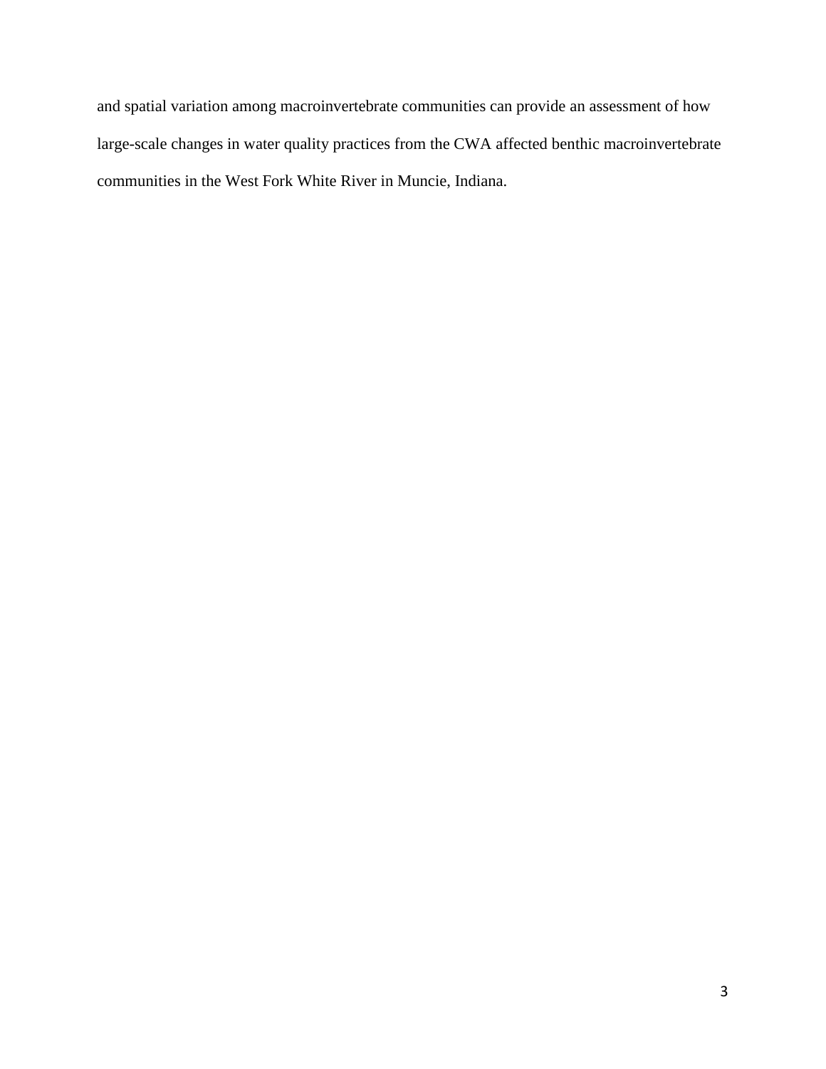and spatial variation among macroinvertebrate communities can provide an assessment of how large-scale changes in water quality practices from the CWA affected benthic macroinvertebrate communities in the West Fork White River in Muncie, Indiana.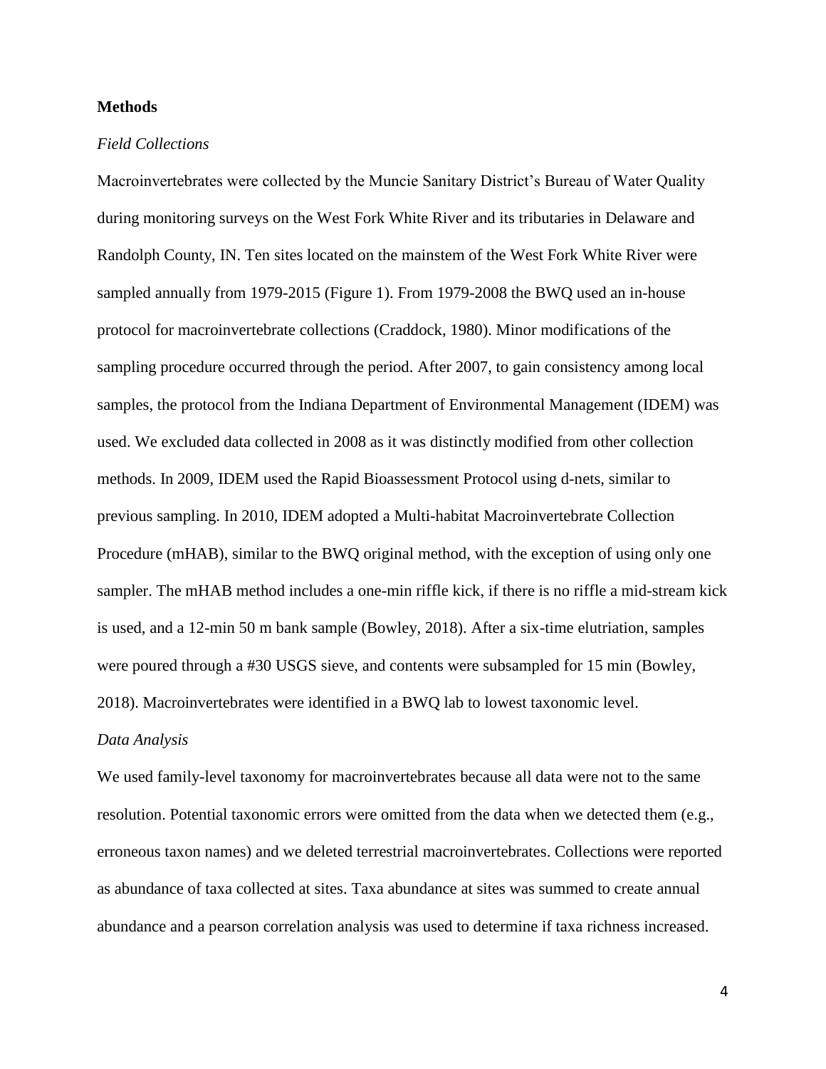#### **Methods**

#### *Field Collections*

Macroinvertebrates were collected by the Muncie Sanitary District's Bureau of Water Quality during monitoring surveys on the West Fork White River and its tributaries in Delaware and Randolph County, IN. Ten sites located on the mainstem of the West Fork White River were sampled annually from 1979-2015 (Figure 1). From 1979-2008 the BWQ used an in-house protocol for macroinvertebrate collections (Craddock, 1980). Minor modifications of the sampling procedure occurred through the period. After 2007, to gain consistency among local samples, the protocol from the Indiana Department of Environmental Management (IDEM) was used. We excluded data collected in 2008 as it was distinctly modified from other collection methods. In 2009, IDEM used the Rapid Bioassessment Protocol using d-nets, similar to previous sampling. In 2010, IDEM adopted a Multi-habitat Macroinvertebrate Collection Procedure (mHAB), similar to the BWQ original method, with the exception of using only one sampler. The mHAB method includes a one-min riffle kick, if there is no riffle a mid-stream kick is used, and a 12-min 50 m bank sample (Bowley, 2018). After a six-time elutriation, samples were poured through a #30 USGS sieve, and contents were subsampled for 15 min (Bowley, 2018). Macroinvertebrates were identified in a BWQ lab to lowest taxonomic level.

#### *Data Analysis*

We used family-level taxonomy for macroinvertebrates because all data were not to the same resolution. Potential taxonomic errors were omitted from the data when we detected them (e.g., erroneous taxon names) and we deleted terrestrial macroinvertebrates. Collections were reported as abundance of taxa collected at sites. Taxa abundance at sites was summed to create annual abundance and a pearson correlation analysis was used to determine if taxa richness increased.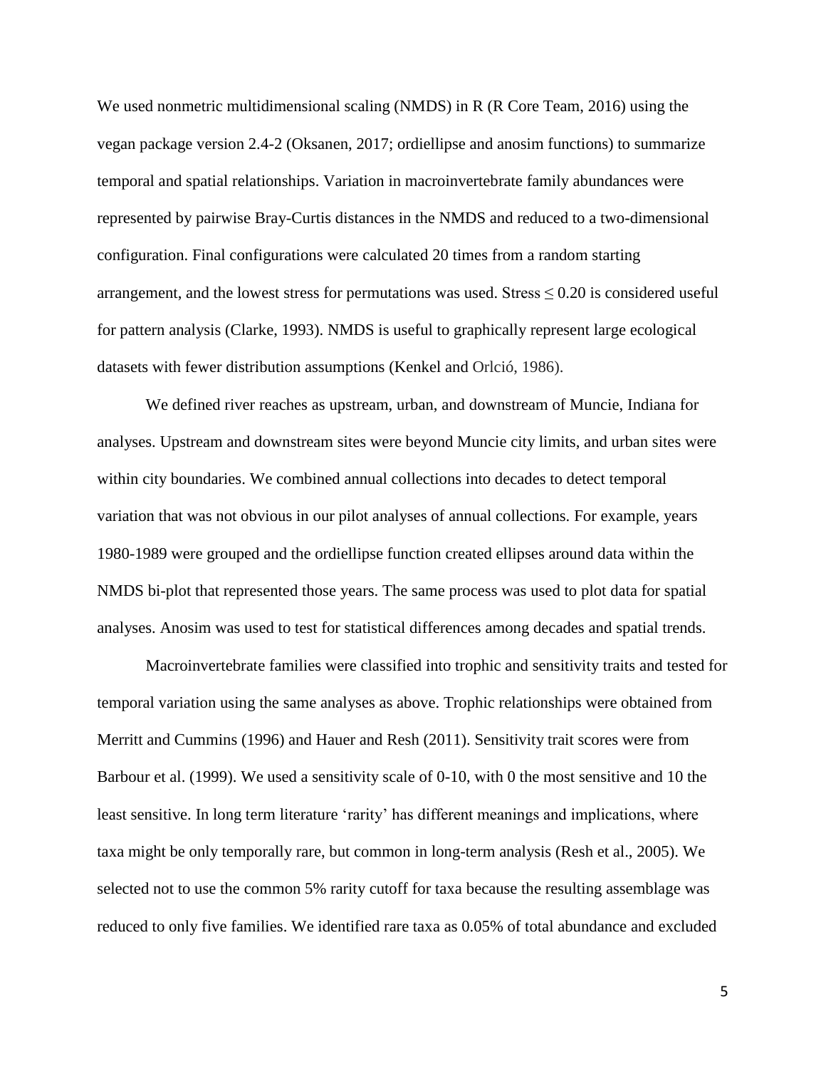We used nonmetric multidimensional scaling (NMDS) in R (R Core Team, 2016) using the vegan package version 2.4-2 (Oksanen, 2017; ordiellipse and anosim functions) to summarize temporal and spatial relationships. Variation in macroinvertebrate family abundances were represented by pairwise Bray-Curtis distances in the NMDS and reduced to a two-dimensional configuration. Final configurations were calculated 20 times from a random starting arrangement, and the lowest stress for permutations was used. Stress  $\leq 0.20$  is considered useful for pattern analysis (Clarke, 1993). NMDS is useful to graphically represent large ecological datasets with fewer distribution assumptions (Kenkel and Orlció, 1986).

We defined river reaches as upstream, urban, and downstream of Muncie, Indiana for analyses. Upstream and downstream sites were beyond Muncie city limits, and urban sites were within city boundaries. We combined annual collections into decades to detect temporal variation that was not obvious in our pilot analyses of annual collections. For example, years 1980-1989 were grouped and the ordiellipse function created ellipses around data within the NMDS bi-plot that represented those years. The same process was used to plot data for spatial analyses. Anosim was used to test for statistical differences among decades and spatial trends.

Macroinvertebrate families were classified into trophic and sensitivity traits and tested for temporal variation using the same analyses as above. Trophic relationships were obtained from Merritt and Cummins (1996) and Hauer and Resh (2011). Sensitivity trait scores were from Barbour et al. (1999). We used a sensitivity scale of 0-10, with 0 the most sensitive and 10 the least sensitive. In long term literature 'rarity' has different meanings and implications, where taxa might be only temporally rare, but common in long-term analysis (Resh et al., 2005). We selected not to use the common 5% rarity cutoff for taxa because the resulting assemblage was reduced to only five families. We identified rare taxa as 0.05% of total abundance and excluded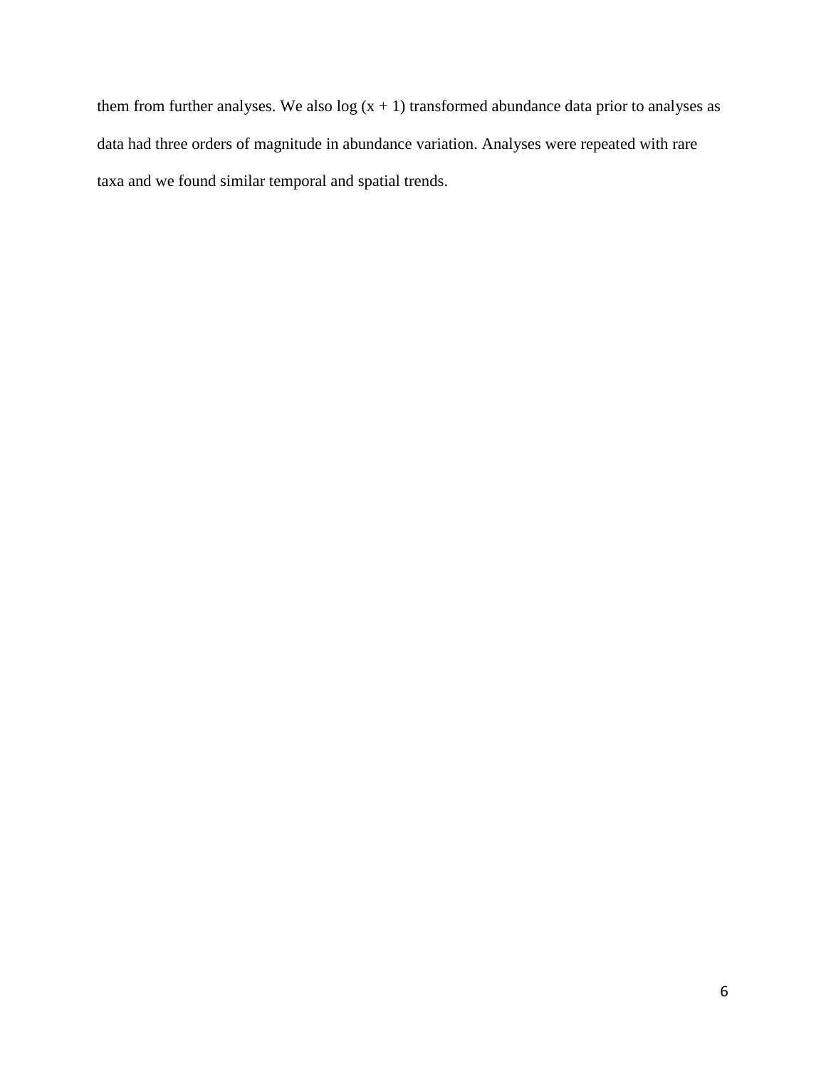them from further analyses. We also  $log(x + 1)$  transformed abundance data prior to analyses as data had three orders of magnitude in abundance variation. Analyses were repeated with rare taxa and we found similar temporal and spatial trends.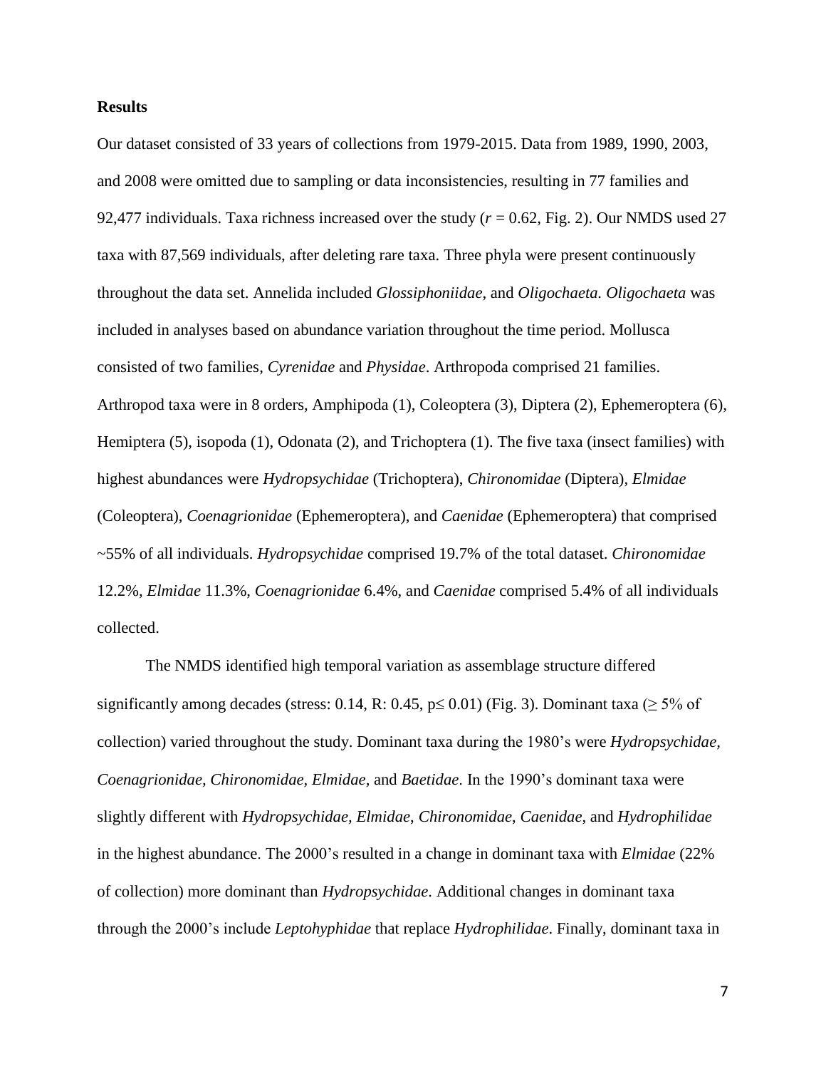#### **Results**

Our dataset consisted of 33 years of collections from 1979-2015. Data from 1989, 1990, 2003, and 2008 were omitted due to sampling or data inconsistencies, resulting in 77 families and 92,477 individuals. Taxa richness increased over the study (*r* = 0.62, Fig. 2). Our NMDS used 27 taxa with 87,569 individuals, after deleting rare taxa. Three phyla were present continuously throughout the data set. Annelida included *Glossiphoniidae*, and *Oligochaeta. Oligochaeta* was included in analyses based on abundance variation throughout the time period. Mollusca consisted of two families, *Cyrenidae* and *Physidae*. Arthropoda comprised 21 families. Arthropod taxa were in 8 orders, Amphipoda (1), Coleoptera (3), Diptera (2), Ephemeroptera (6), Hemiptera (5), isopoda (1), Odonata (2), and Trichoptera (1). The five taxa (insect families) with highest abundances were *Hydropsychidae* (Trichoptera), *Chironomidae* (Diptera), *Elmidae* (Coleoptera), *Coenagrionidae* (Ephemeroptera), and *Caenidae* (Ephemeroptera) that comprised ~55% of all individuals. *Hydropsychidae* comprised 19.7% of the total dataset. *Chironomidae* 12.2%, *Elmidae* 11.3%, *Coenagrionidae* 6.4%, and *Caenidae* comprised 5.4% of all individuals collected.

The NMDS identified high temporal variation as assemblage structure differed significantly among decades (stress: 0.14, R: 0.45,  $p \le 0.01$ ) (Fig. 3). Dominant taxa ( $\ge 5\%$  of collection) varied throughout the study. Dominant taxa during the 1980's were *Hydropsychidae, Coenagrionidae, Chironomidae, Elmidae,* and *Baetidae*. In the 1990's dominant taxa were slightly different with *Hydropsychidae, Elmidae*, *Chironomidae*, *Caenidae*, and *Hydrophilidae* in the highest abundance. The 2000's resulted in a change in dominant taxa with *Elmidae* (22% of collection) more dominant than *Hydropsychidae*. Additional changes in dominant taxa through the 2000's include *Leptohyphidae* that replace *Hydrophilidae*. Finally, dominant taxa in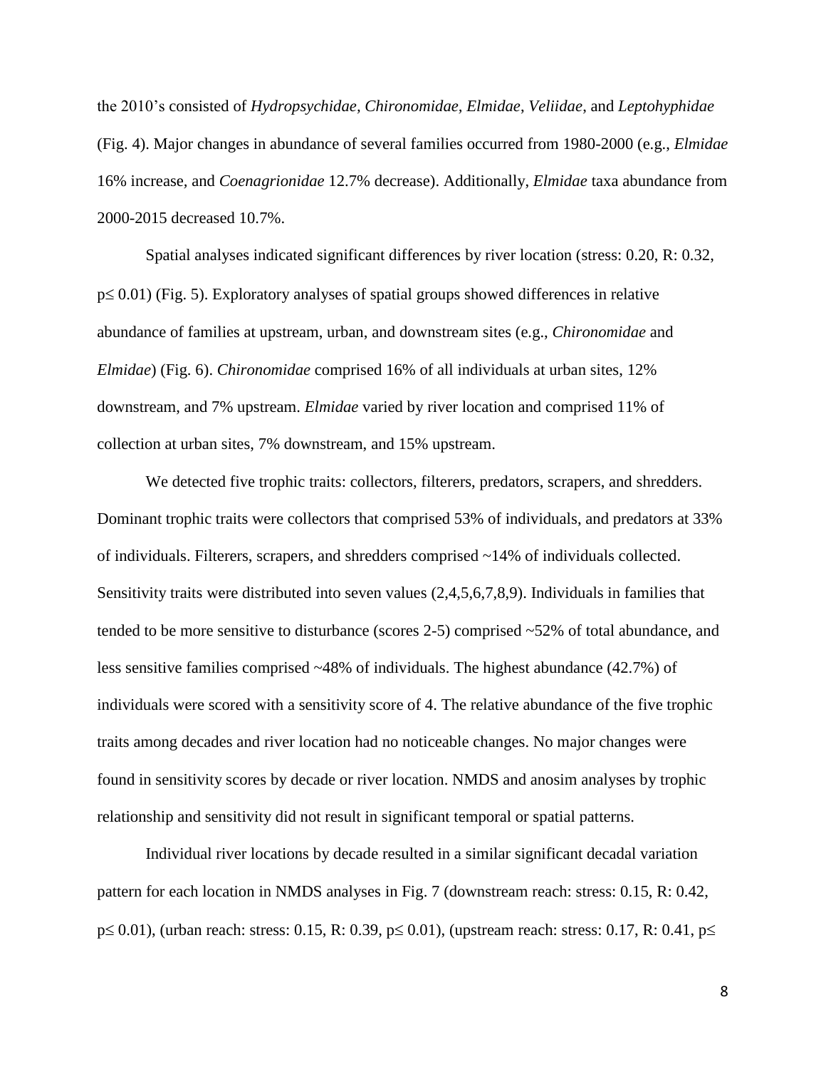the 2010's consisted of *Hydropsychidae, Chironomidae, Elmidae*, *Veliidae*, and *Leptohyphidae* (Fig. 4). Major changes in abundance of several families occurred from 1980-2000 (e.g., *Elmidae* 16% increase*,* and *Coenagrionidae* 12.7% decrease). Additionally, *Elmidae* taxa abundance from 2000-2015 decreased 10.7%.

Spatial analyses indicated significant differences by river location (stress: 0.20, R: 0.32,  $p \leq 0.01$ ) (Fig. 5). Exploratory analyses of spatial groups showed differences in relative abundance of families at upstream, urban, and downstream sites (e.g., *Chironomidae* and *Elmidae*) (Fig. 6). *Chironomidae* comprised 16% of all individuals at urban sites, 12% downstream, and 7% upstream. *Elmidae* varied by river location and comprised 11% of collection at urban sites, 7% downstream, and 15% upstream.

We detected five trophic traits: collectors, filterers, predators, scrapers, and shredders. Dominant trophic traits were collectors that comprised 53% of individuals, and predators at 33% of individuals. Filterers, scrapers, and shredders comprised ~14% of individuals collected. Sensitivity traits were distributed into seven values (2,4,5,6,7,8,9). Individuals in families that tended to be more sensitive to disturbance (scores 2-5) comprised ~52% of total abundance, and less sensitive families comprised ~48% of individuals. The highest abundance (42.7%) of individuals were scored with a sensitivity score of 4. The relative abundance of the five trophic traits among decades and river location had no noticeable changes. No major changes were found in sensitivity scores by decade or river location. NMDS and anosim analyses by trophic relationship and sensitivity did not result in significant temporal or spatial patterns.

Individual river locations by decade resulted in a similar significant decadal variation pattern for each location in NMDS analyses in Fig. 7 (downstream reach: stress: 0.15, R: 0.42,  $p \le 0.01$ ), (urban reach: stress: 0.15, R: 0.39,  $p \le 0.01$ ), (upstream reach: stress: 0.17, R: 0.41,  $p \le$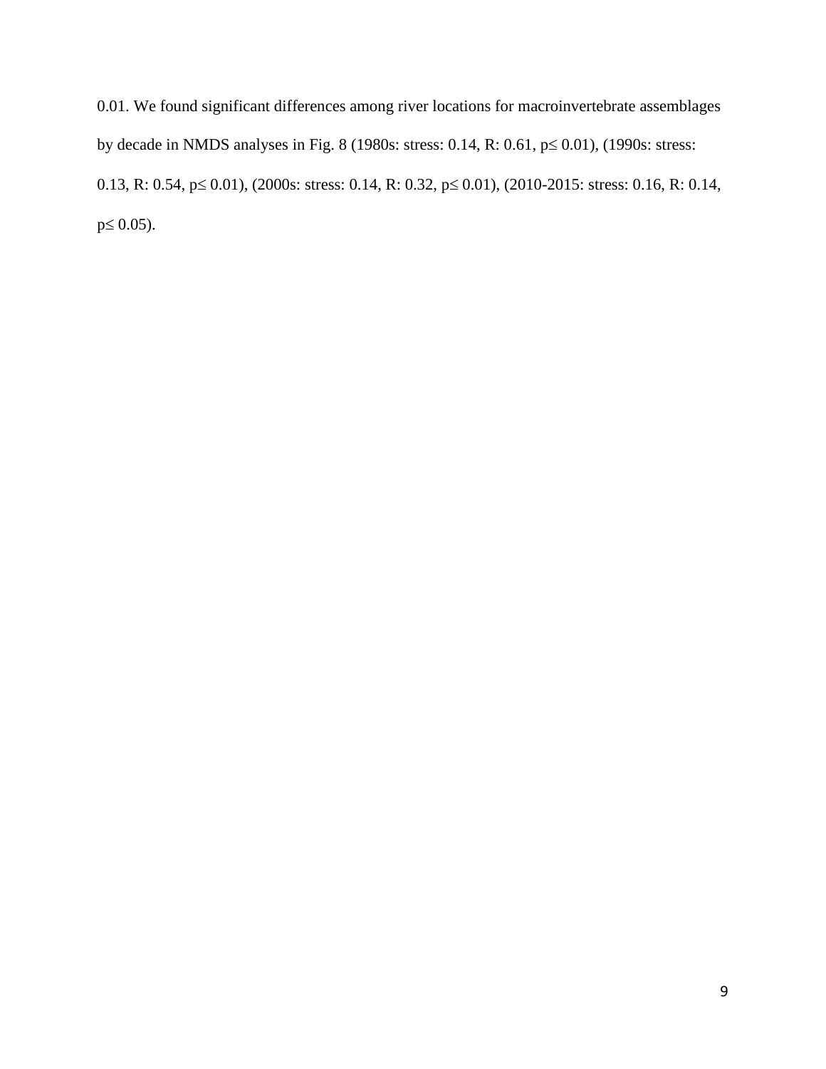0.01. We found significant differences among river locations for macroinvertebrate assemblages by decade in NMDS analyses in Fig. 8 (1980s: stress: 0.14, R: 0.61,  $p \le 0.01$ ), (1990s: stress: 0.13, R: 0.54,  $p \le 0.01$ ), (2000s: stress: 0.14, R: 0.32,  $p \le 0.01$ ), (2010-2015: stress: 0.16, R: 0.14,  $p \le 0.05$ ).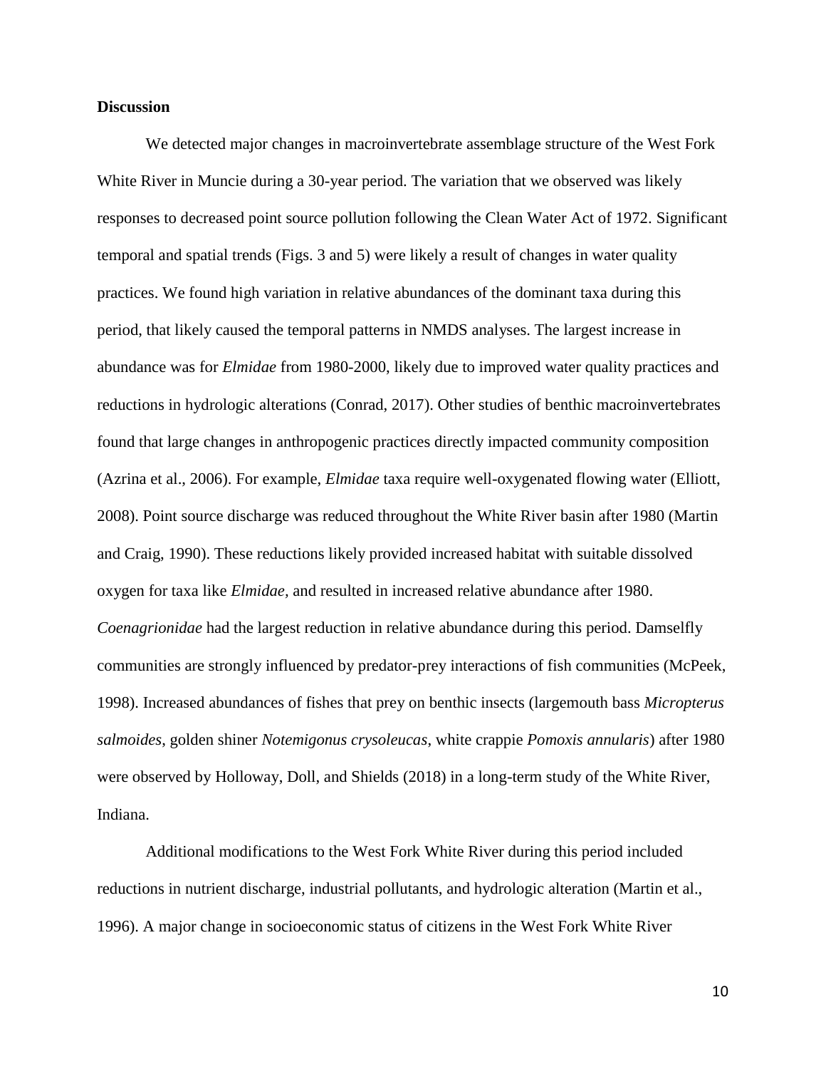#### **Discussion**

We detected major changes in macroinvertebrate assemblage structure of the West Fork White River in Muncie during a 30-year period. The variation that we observed was likely responses to decreased point source pollution following the Clean Water Act of 1972. Significant temporal and spatial trends (Figs. 3 and 5) were likely a result of changes in water quality practices. We found high variation in relative abundances of the dominant taxa during this period, that likely caused the temporal patterns in NMDS analyses. The largest increase in abundance was for *Elmidae* from 1980-2000, likely due to improved water quality practices and reductions in hydrologic alterations (Conrad, 2017). Other studies of benthic macroinvertebrates found that large changes in anthropogenic practices directly impacted community composition (Azrina et al., 2006). For example, *Elmidae* taxa require well-oxygenated flowing water (Elliott, 2008). Point source discharge was reduced throughout the White River basin after 1980 (Martin and Craig, 1990). These reductions likely provided increased habitat with suitable dissolved oxygen for taxa like *Elmidae,* and resulted in increased relative abundance after 1980. *Coenagrionidae* had the largest reduction in relative abundance during this period. Damselfly communities are strongly influenced by predator-prey interactions of fish communities (McPeek, 1998). Increased abundances of fishes that prey on benthic insects (largemouth bass *Micropterus salmoides*, golden shiner *Notemigonus crysoleucas*, white crappie *Pomoxis annularis*) after 1980 were observed by Holloway, Doll, and Shields (2018) in a long-term study of the White River, Indiana.

Additional modifications to the West Fork White River during this period included reductions in nutrient discharge, industrial pollutants, and hydrologic alteration (Martin et al., 1996). A major change in socioeconomic status of citizens in the West Fork White River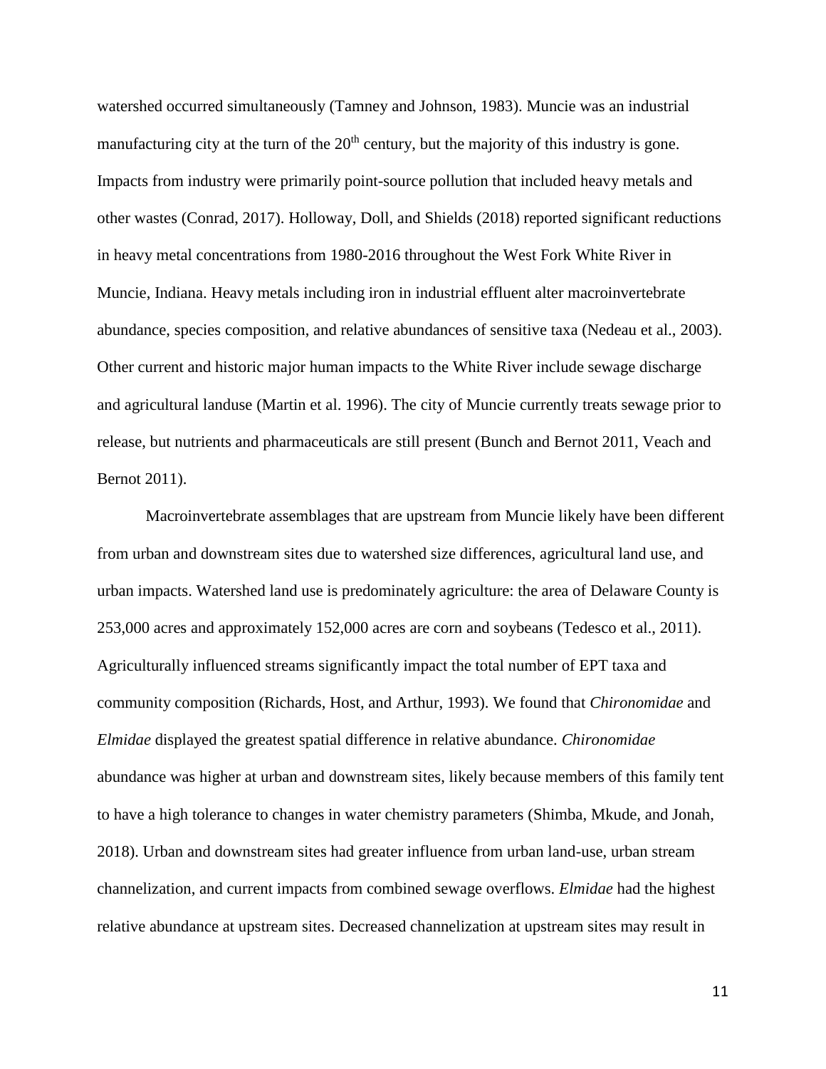watershed occurred simultaneously (Tamney and Johnson, 1983). Muncie was an industrial manufacturing city at the turn of the  $20<sup>th</sup>$  century, but the majority of this industry is gone. Impacts from industry were primarily point-source pollution that included heavy metals and other wastes (Conrad, 2017). Holloway, Doll, and Shields (2018) reported significant reductions in heavy metal concentrations from 1980-2016 throughout the West Fork White River in Muncie, Indiana. Heavy metals including iron in industrial effluent alter macroinvertebrate abundance, species composition, and relative abundances of sensitive taxa (Nedeau et al., 2003). Other current and historic major human impacts to the White River include sewage discharge and agricultural landuse (Martin et al. 1996). The city of Muncie currently treats sewage prior to release, but nutrients and pharmaceuticals are still present (Bunch and Bernot 2011, Veach and Bernot 2011).

Macroinvertebrate assemblages that are upstream from Muncie likely have been different from urban and downstream sites due to watershed size differences, agricultural land use, and urban impacts. Watershed land use is predominately agriculture: the area of Delaware County is 253,000 acres and approximately 152,000 acres are corn and soybeans (Tedesco et al., 2011). Agriculturally influenced streams significantly impact the total number of EPT taxa and community composition (Richards, Host, and Arthur, 1993). We found that *Chironomidae* and *Elmidae* displayed the greatest spatial difference in relative abundance. *Chironomidae* abundance was higher at urban and downstream sites, likely because members of this family tent to have a high tolerance to changes in water chemistry parameters (Shimba, Mkude, and Jonah, 2018). Urban and downstream sites had greater influence from urban land-use, urban stream channelization, and current impacts from combined sewage overflows. *Elmidae* had the highest relative abundance at upstream sites. Decreased channelization at upstream sites may result in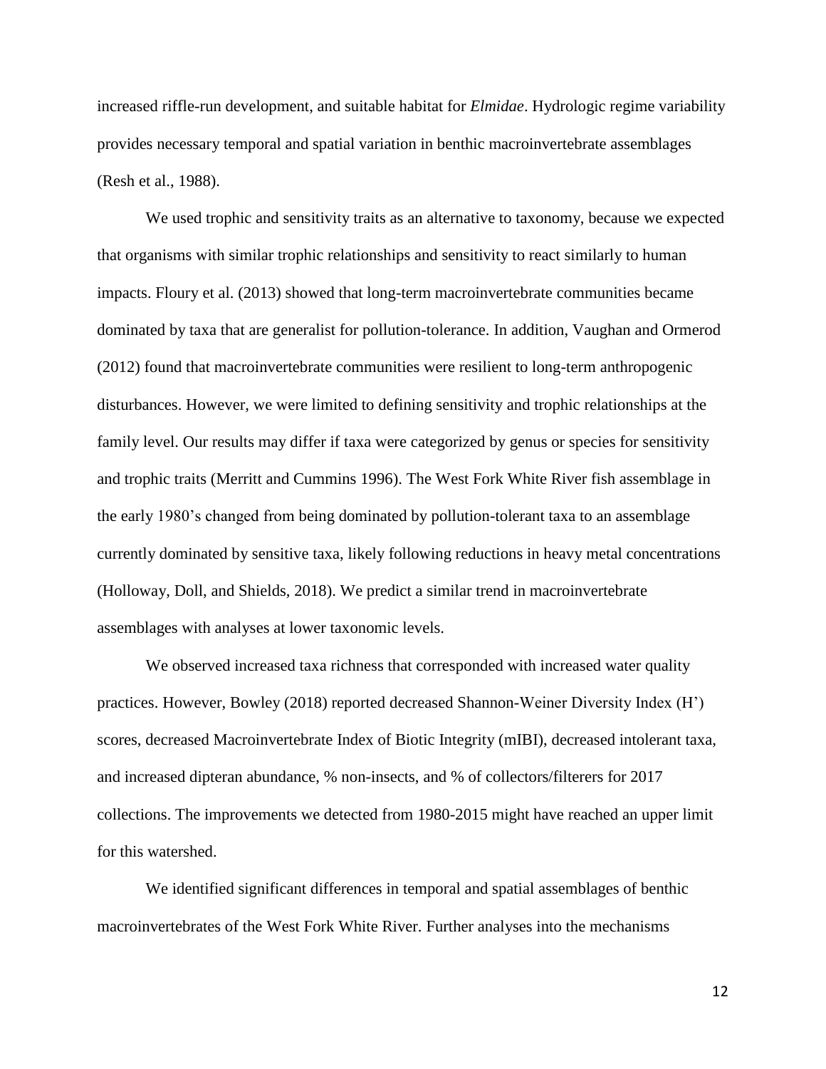increased riffle-run development, and suitable habitat for *Elmidae*. Hydrologic regime variability provides necessary temporal and spatial variation in benthic macroinvertebrate assemblages (Resh et al., 1988).

We used trophic and sensitivity traits as an alternative to taxonomy, because we expected that organisms with similar trophic relationships and sensitivity to react similarly to human impacts. Floury et al. (2013) showed that long-term macroinvertebrate communities became dominated by taxa that are generalist for pollution-tolerance. In addition, Vaughan and Ormerod (2012) found that macroinvertebrate communities were resilient to long-term anthropogenic disturbances. However, we were limited to defining sensitivity and trophic relationships at the family level. Our results may differ if taxa were categorized by genus or species for sensitivity and trophic traits (Merritt and Cummins 1996). The West Fork White River fish assemblage in the early 1980's changed from being dominated by pollution-tolerant taxa to an assemblage currently dominated by sensitive taxa, likely following reductions in heavy metal concentrations (Holloway, Doll, and Shields, 2018). We predict a similar trend in macroinvertebrate assemblages with analyses at lower taxonomic levels.

We observed increased taxa richness that corresponded with increased water quality practices. However, Bowley (2018) reported decreased Shannon-Weiner Diversity Index (H') scores, decreased Macroinvertebrate Index of Biotic Integrity (mIBI), decreased intolerant taxa, and increased dipteran abundance, % non-insects, and % of collectors/filterers for 2017 collections. The improvements we detected from 1980-2015 might have reached an upper limit for this watershed.

We identified significant differences in temporal and spatial assemblages of benthic macroinvertebrates of the West Fork White River. Further analyses into the mechanisms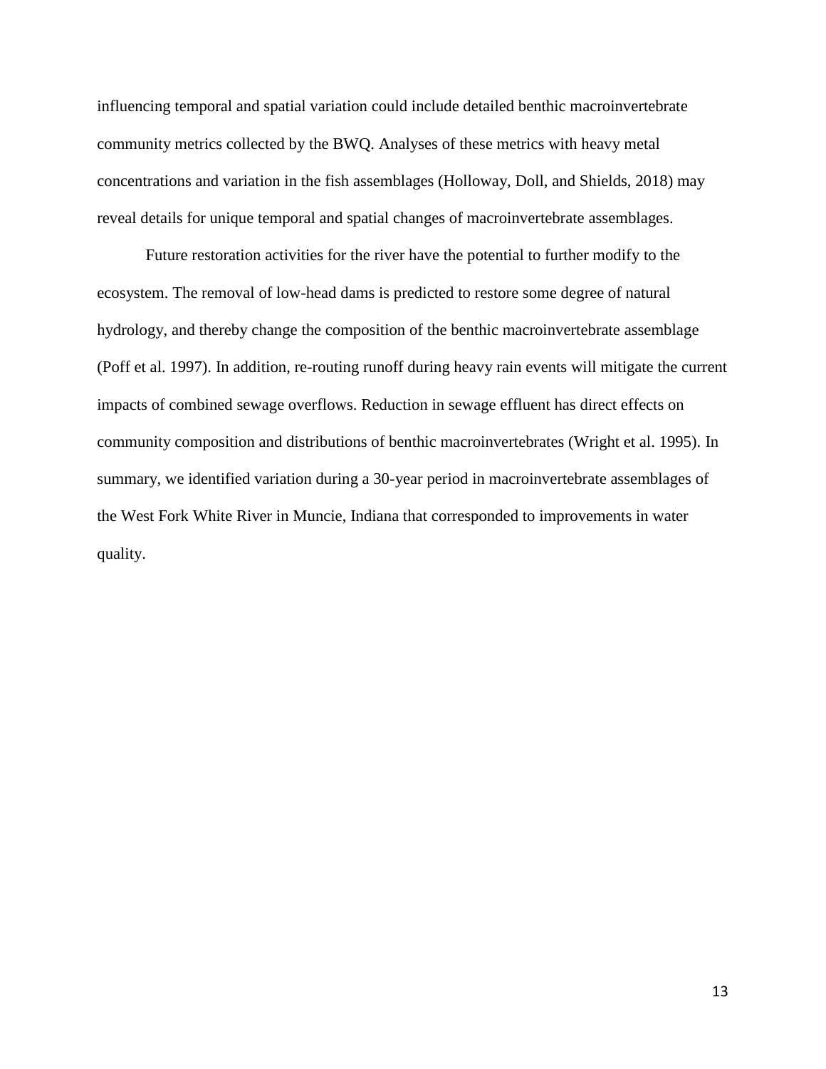influencing temporal and spatial variation could include detailed benthic macroinvertebrate community metrics collected by the BWQ. Analyses of these metrics with heavy metal concentrations and variation in the fish assemblages (Holloway, Doll, and Shields, 2018) may reveal details for unique temporal and spatial changes of macroinvertebrate assemblages.

Future restoration activities for the river have the potential to further modify to the ecosystem. The removal of low-head dams is predicted to restore some degree of natural hydrology, and thereby change the composition of the benthic macroinvertebrate assemblage (Poff et al. 1997). In addition, re-routing runoff during heavy rain events will mitigate the current impacts of combined sewage overflows. Reduction in sewage effluent has direct effects on community composition and distributions of benthic macroinvertebrates (Wright et al. 1995). In summary, we identified variation during a 30-year period in macroinvertebrate assemblages of the West Fork White River in Muncie, Indiana that corresponded to improvements in water quality.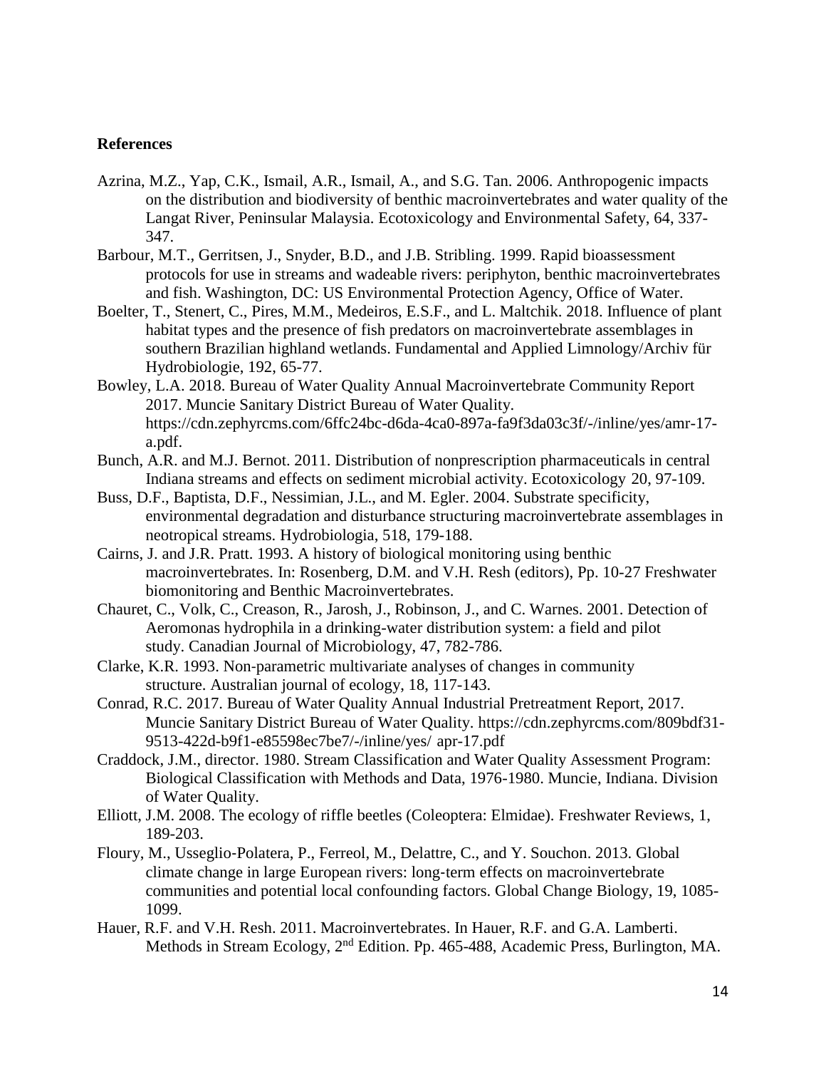### **References**

- Azrina, M.Z., Yap, C.K., Ismail, A.R., Ismail, A., and S.G. Tan. 2006. Anthropogenic impacts on the distribution and biodiversity of benthic macroinvertebrates and water quality of the Langat River, Peninsular Malaysia. Ecotoxicology and Environmental Safety, 64, 337- 347.
- Barbour, M.T., Gerritsen, J., Snyder, B.D., and J.B. Stribling. 1999. Rapid bioassessment protocols for use in streams and wadeable rivers: periphyton, benthic macroinvertebrates and fish. Washington, DC: US Environmental Protection Agency, Office of Water.
- Boelter, T., Stenert, C., Pires, M.M., Medeiros, E.S.F., and L. Maltchik. 2018. Influence of plant habitat types and the presence of fish predators on macroinvertebrate assemblages in southern Brazilian highland wetlands. Fundamental and Applied Limnology/Archiv für Hydrobiologie, 192, 65-77.
- Bowley, L.A. 2018. Bureau of Water Quality Annual Macroinvertebrate Community Report 2017. Muncie Sanitary District Bureau of Water Quality. https://cdn.zephyrcms.com/6ffc24bc-d6da-4ca0-897a-fa9f3da03c3f/-/inline/yes/amr-17 a.pdf.
- Bunch, A.R. and M.J. Bernot. 2011. Distribution of nonprescription pharmaceuticals in central Indiana streams and effects on sediment microbial activity. Ecotoxicology 20, 97-109.
- Buss, D.F., Baptista, D.F., Nessimian, J.L., and M. Egler. 2004. Substrate specificity, environmental degradation and disturbance structuring macroinvertebrate assemblages in neotropical streams. Hydrobiologia, 518, 179-188.
- Cairns, J. and J.R. Pratt. 1993. A history of biological monitoring using benthic macroinvertebrates. In: Rosenberg, D.M. and V.H. Resh (editors), Pp. 10-27 Freshwater biomonitoring and Benthic Macroinvertebrates.
- Chauret, C., Volk, C., Creason, R., Jarosh, J., Robinson, J., and C. Warnes. 2001. Detection of Aeromonas hydrophila in a drinking-water distribution system: a field and pilot study. Canadian Journal of Microbiology, 47, 782-786.
- Clarke, K.R. 1993. Non‐parametric multivariate analyses of changes in community structure. Australian journal of ecology, 18, 117-143.
- Conrad, R.C. 2017. Bureau of Water Quality Annual Industrial Pretreatment Report, 2017. Muncie Sanitary District Bureau of Water Quality. https://cdn.zephyrcms.com/809bdf31- 9513-422d-b9f1-e85598ec7be7/-/inline/yes/ apr-17.pdf
- Craddock, J.M., director. 1980. Stream Classification and Water Quality Assessment Program: Biological Classification with Methods and Data, 1976-1980. Muncie, Indiana. Division of Water Quality.
- Elliott, J.M. 2008. The ecology of riffle beetles (Coleoptera: Elmidae). Freshwater Reviews, 1, 189-203.
- Floury, M., Usseglio‐Polatera, P., Ferreol, M., Delattre, C., and Y. Souchon. 2013. Global climate change in large European rivers: long‐term effects on macroinvertebrate communities and potential local confounding factors. Global Change Biology, 19, 1085- 1099.
- Hauer, R.F. and V.H. Resh. 2011. Macroinvertebrates. In Hauer, R.F. and G.A. Lamberti. Methods in Stream Ecology, 2<sup>nd</sup> Edition. Pp. 465-488, Academic Press, Burlington, MA.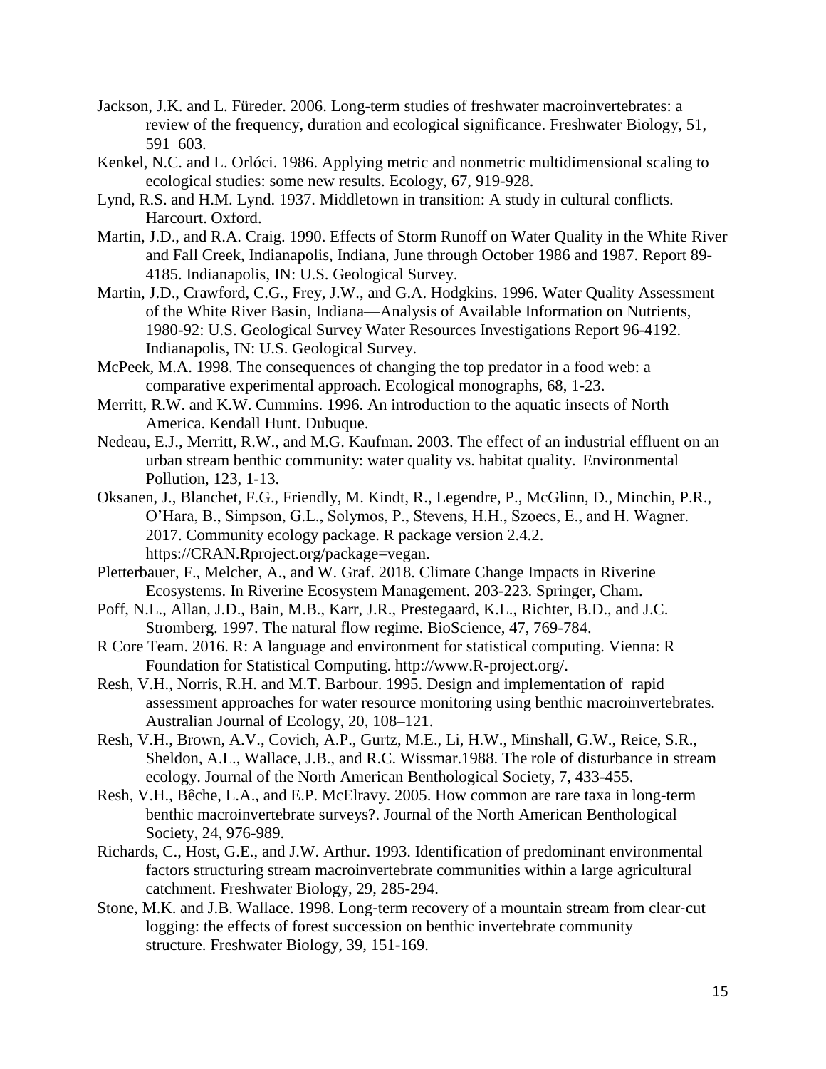- Jackson, J.K. and L. Füreder. 2006. Long-term studies of freshwater macroinvertebrates: a review of the frequency, duration and ecological significance. Freshwater Biology, 51, 591–603.
- Kenkel, N.C. and L. Orlóci. 1986. Applying metric and nonmetric multidimensional scaling to ecological studies: some new results. Ecology, 67, 919-928.
- Lynd, R.S. and H.M. Lynd. 1937. Middletown in transition: A study in cultural conflicts. Harcourt. Oxford.
- Martin, J.D., and R.A. Craig. 1990. Effects of Storm Runoff on Water Quality in the White River and Fall Creek, Indianapolis, Indiana, June through October 1986 and 1987. Report 89- 4185. Indianapolis, IN: U.S. Geological Survey.
- Martin, J.D., Crawford, C.G., Frey, J.W., and G.A. Hodgkins. 1996. Water Quality Assessment of the White River Basin, Indiana—Analysis of Available Information on Nutrients, 1980-92: U.S. Geological Survey Water Resources Investigations Report 96-4192. Indianapolis, IN: U.S. Geological Survey.
- McPeek, M.A. 1998. The consequences of changing the top predator in a food web: a comparative experimental approach. Ecological monographs, 68, 1-23.
- Merritt, R.W. and K.W. Cummins. 1996. An introduction to the aquatic insects of North America. Kendall Hunt. Dubuque.
- Nedeau, E.J., Merritt, R.W., and M.G. Kaufman. 2003. The effect of an industrial effluent on an urban stream benthic community: water quality vs. habitat quality. Environmental Pollution, 123, 1-13.
- Oksanen, J., Blanchet, F.G., Friendly, M. Kindt, R., Legendre, P., McGlinn, D., Minchin, P.R., O'Hara, B., Simpson, G.L., Solymos, P., Stevens, H.H., Szoecs, E., and H. Wagner. 2017. Community ecology package. R package version 2.4.2. https://CRAN.Rproject.org/package=vegan.
- Pletterbauer, F., Melcher, A., and W. Graf. 2018. Climate Change Impacts in Riverine Ecosystems. In Riverine Ecosystem Management. 203-223. Springer, Cham.
- Poff, N.L., Allan, J.D., Bain, M.B., Karr, J.R., Prestegaard, K.L., Richter, B.D., and J.C. Stromberg. 1997. The natural flow regime. BioScience, 47, 769-784.
- R Core Team. 2016. R: A language and environment for statistical computing. Vienna: R Foundation for Statistical Computing. http://www.R-project.org/.
- Resh, V.H., Norris, R.H. and M.T. Barbour. 1995. Design and implementation of rapid assessment approaches for water resource monitoring using benthic macroinvertebrates. Australian Journal of Ecology, 20, 108–121.
- Resh, V.H., Brown, A.V., Covich, A.P., Gurtz, M.E., Li, H.W., Minshall, G.W., Reice, S.R., Sheldon, A.L., Wallace, J.B., and R.C. Wissmar.1988. The role of disturbance in stream ecology. Journal of the North American Benthological Society, 7, 433-455.
- Resh, V.H., Bêche, L.A., and E.P. McElravy. 2005. How common are rare taxa in long-term benthic macroinvertebrate surveys?. Journal of the North American Benthological Society, 24, 976-989.
- Richards, C., Host, G.E., and J.W. Arthur. 1993. Identification of predominant environmental factors structuring stream macroinvertebrate communities within a large agricultural catchment. Freshwater Biology, 29, 285-294.
- Stone, M.K. and J.B. Wallace. 1998. Long-term recovery of a mountain stream from clear-cut logging: the effects of forest succession on benthic invertebrate community structure. Freshwater Biology, 39, 151-169.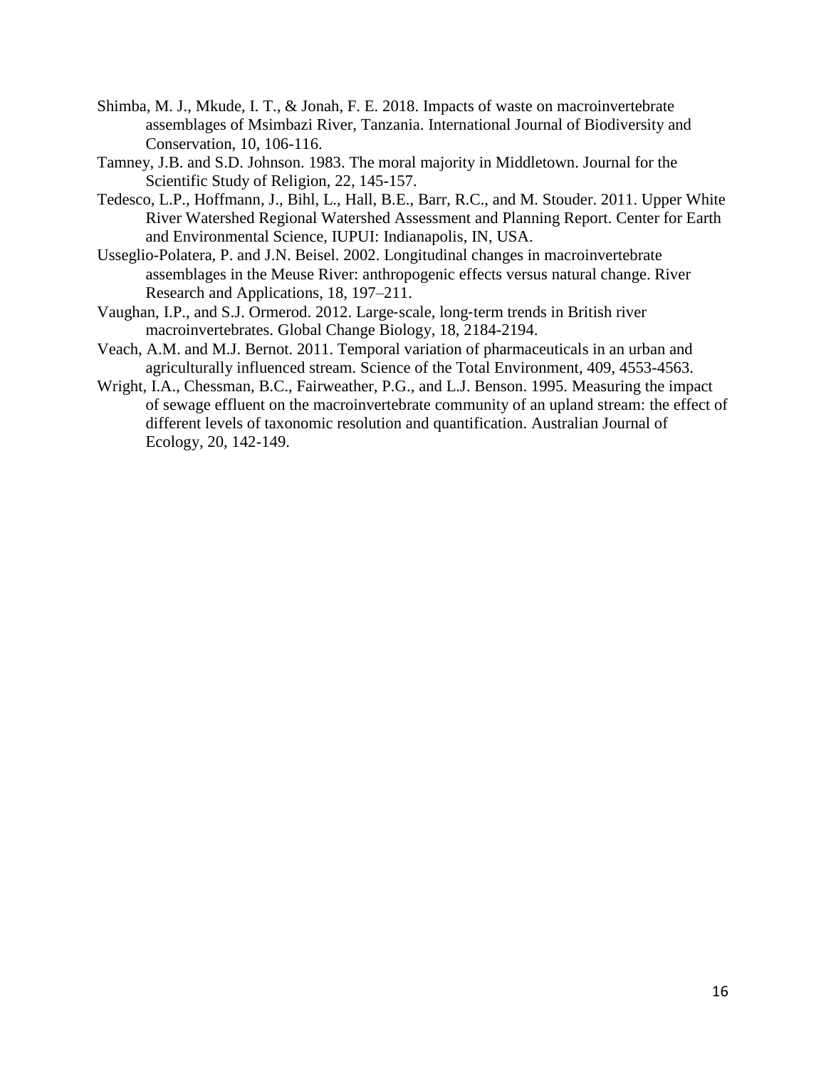- Shimba, M. J., Mkude, I. T., & Jonah, F. E. 2018. Impacts of waste on macroinvertebrate assemblages of Msimbazi River, Tanzania. International Journal of Biodiversity and Conservation, 10, 106-116.
- Tamney, J.B. and S.D. Johnson. 1983. The moral majority in Middletown. Journal for the Scientific Study of Religion, 22, 145-157.
- Tedesco, L.P., Hoffmann, J., Bihl, L., Hall, B.E., Barr, R.C., and M. Stouder. 2011. Upper White River Watershed Regional Watershed Assessment and Planning Report. Center for Earth and Environmental Science, IUPUI: Indianapolis, IN, USA.
- Usseglio-Polatera, P. and J.N. Beisel. 2002. Longitudinal changes in macroinvertebrate assemblages in the Meuse River: anthropogenic effects versus natural change. River Research and Applications, 18, 197–211.
- Vaughan, I.P., and S.J. Ormerod. 2012. Large‐scale, long‐term trends in British river macroinvertebrates. Global Change Biology, 18, 2184-2194.
- Veach, A.M. and M.J. Bernot. 2011. Temporal variation of pharmaceuticals in an urban and agriculturally influenced stream. Science of the Total Environment, 409, 4553-4563.
- Wright, I.A., Chessman, B.C., Fairweather, P.G., and L.J. Benson. 1995. Measuring the impact of sewage effluent on the macroinvertebrate community of an upland stream: the effect of different levels of taxonomic resolution and quantification. Australian Journal of Ecology, 20, 142-149.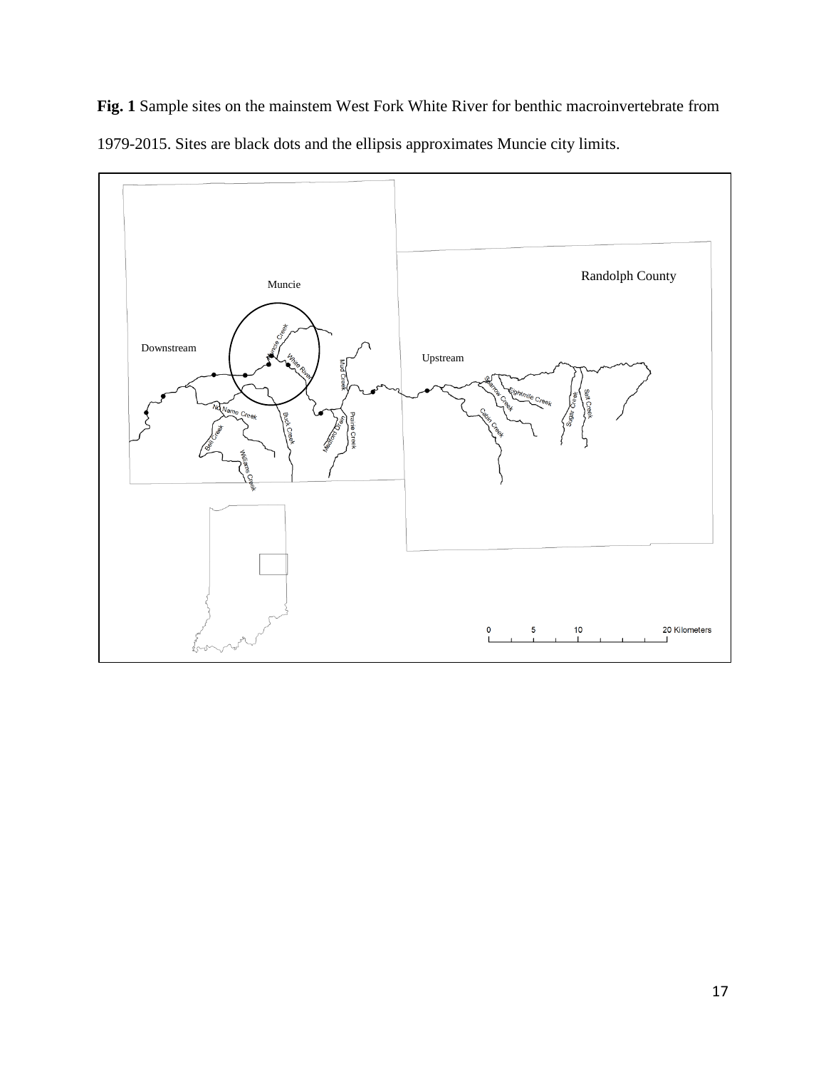**Fig. 1** Sample sites on the mainstem West Fork White River for benthic macroinvertebrate from 1979-2015. Sites are black dots and the ellipsis approximates Muncie city limits.

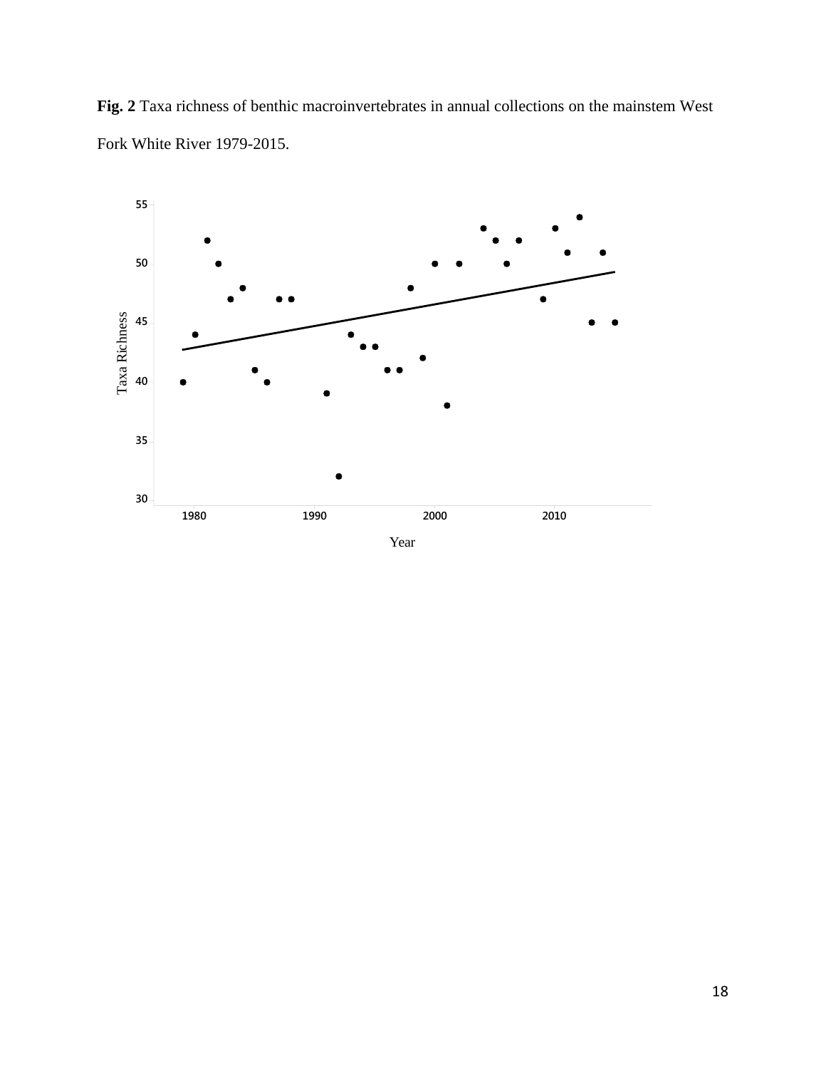**Fig. 2** Taxa richness of benthic macroinvertebrates in annual collections on the mainstem West Fork White River 1979-2015.

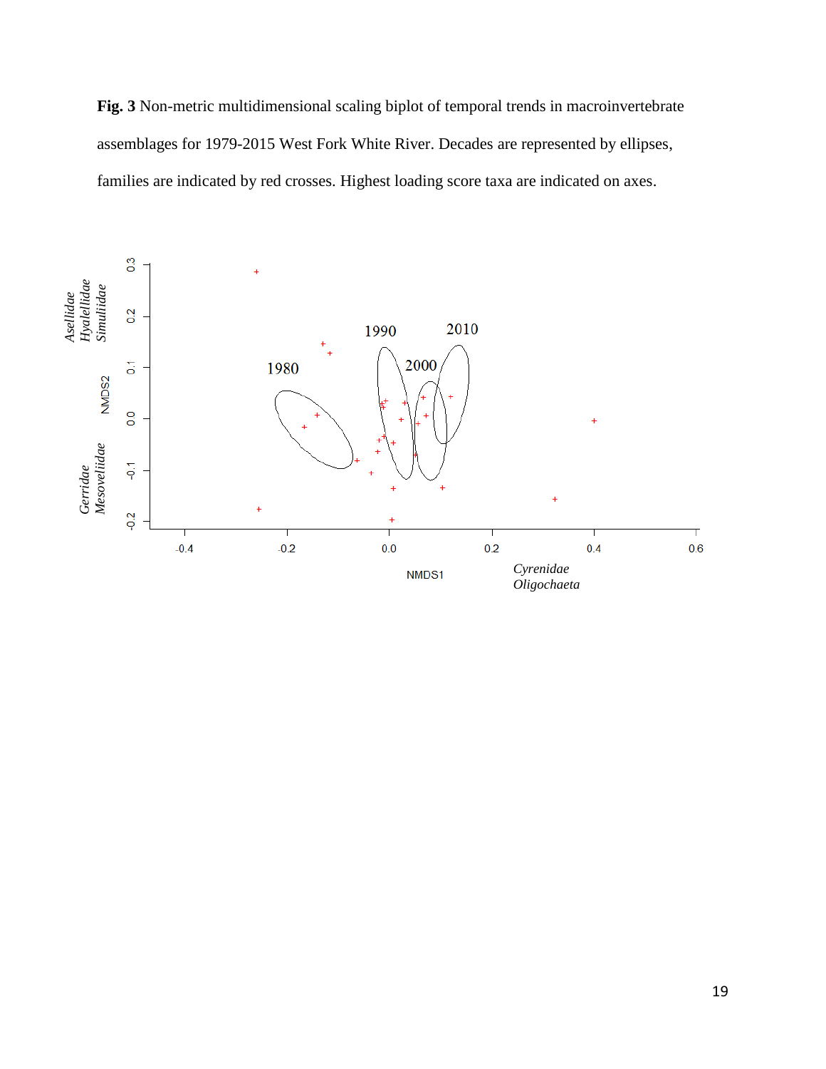**Fig. 3** Non-metric multidimensional scaling biplot of temporal trends in macroinvertebrate assemblages for 1979-2015 West Fork White River. Decades are represented by ellipses, families are indicated by red crosses. Highest loading score taxa are indicated on axes.

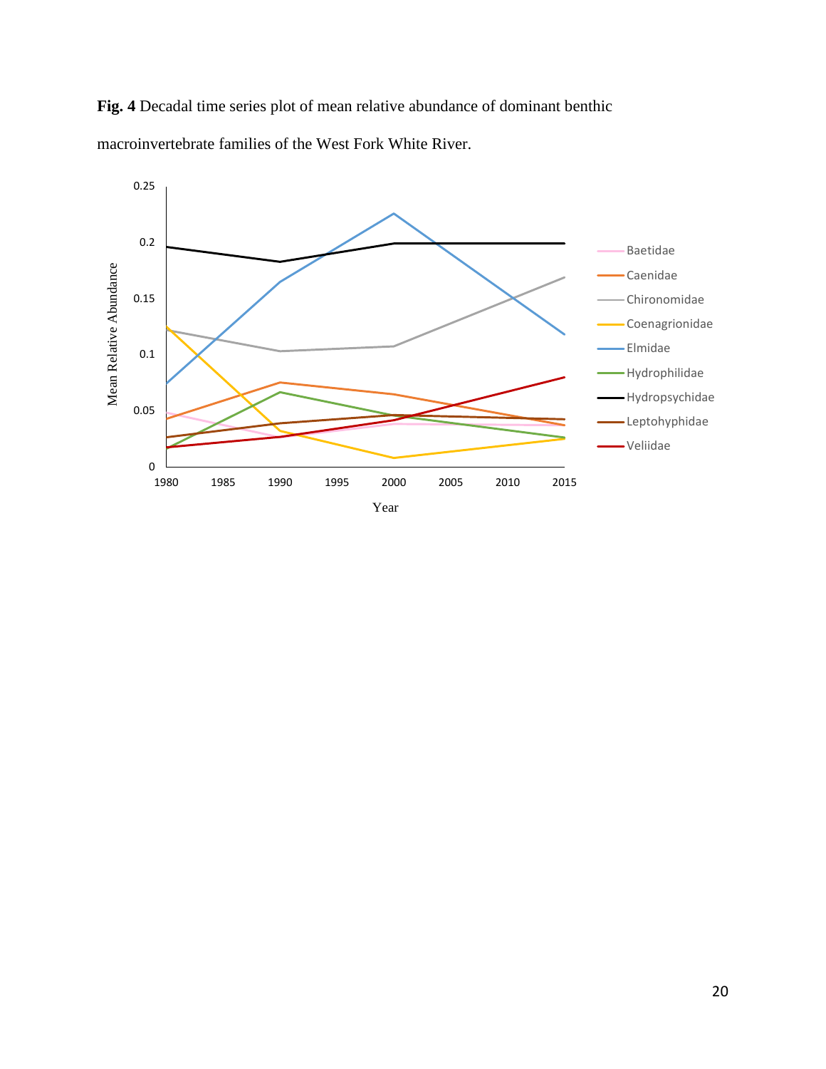

**Fig. 4** Decadal time series plot of mean relative abundance of dominant benthic macroinvertebrate families of the West Fork White River.

Year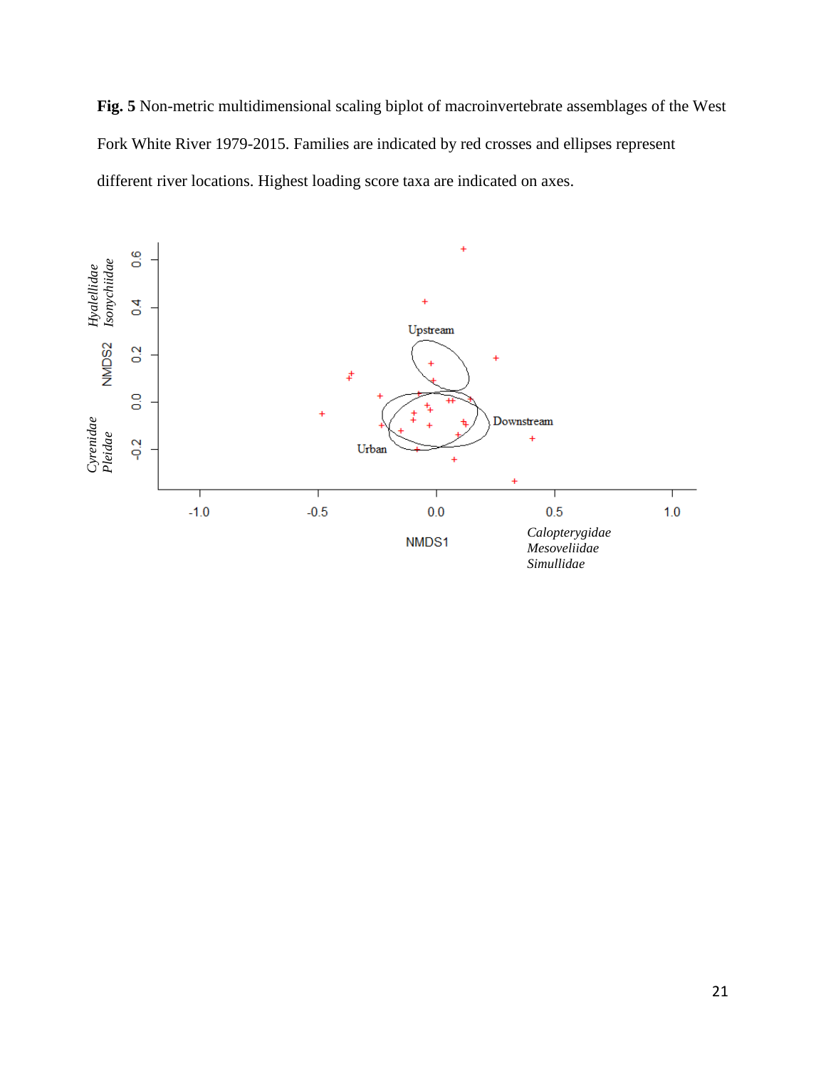**Fig. 5** Non-metric multidimensional scaling biplot of macroinvertebrate assemblages of the West Fork White River 1979-2015. Families are indicated by red crosses and ellipses represent different river locations. Highest loading score taxa are indicated on axes.

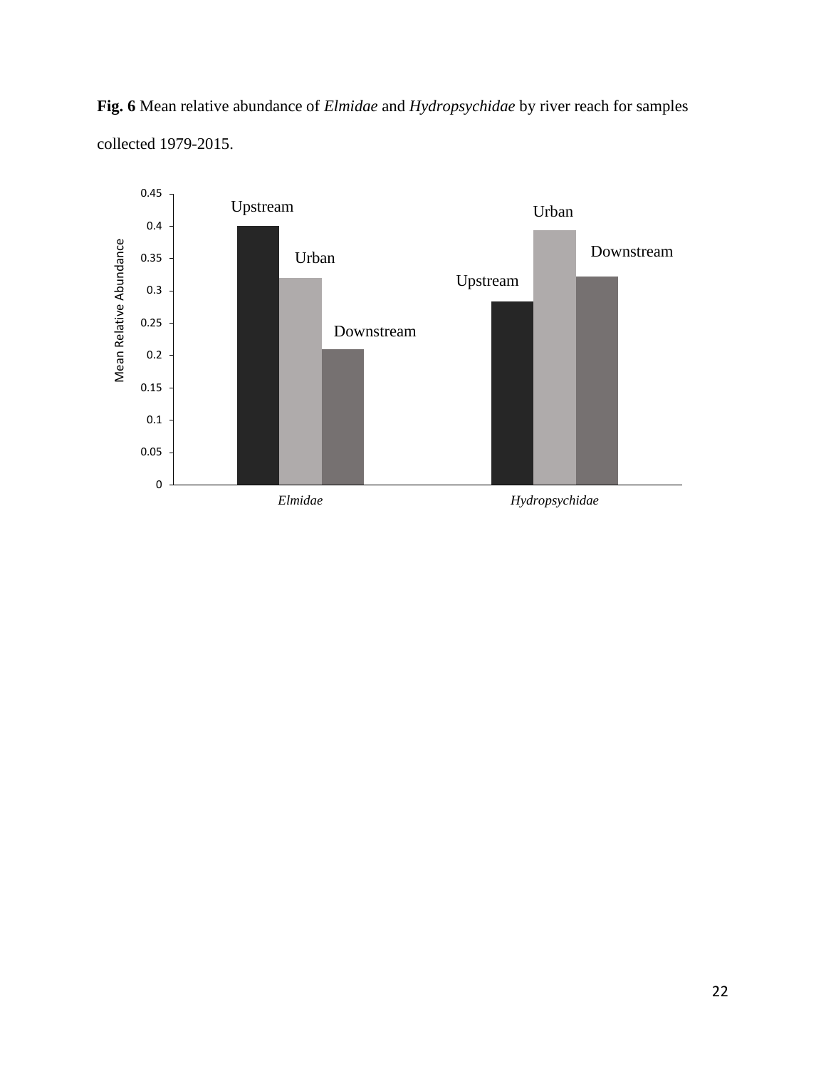**Fig. 6** Mean relative abundance of *Elmidae* and *Hydropsychidae* by river reach for samples collected 1979-2015.



22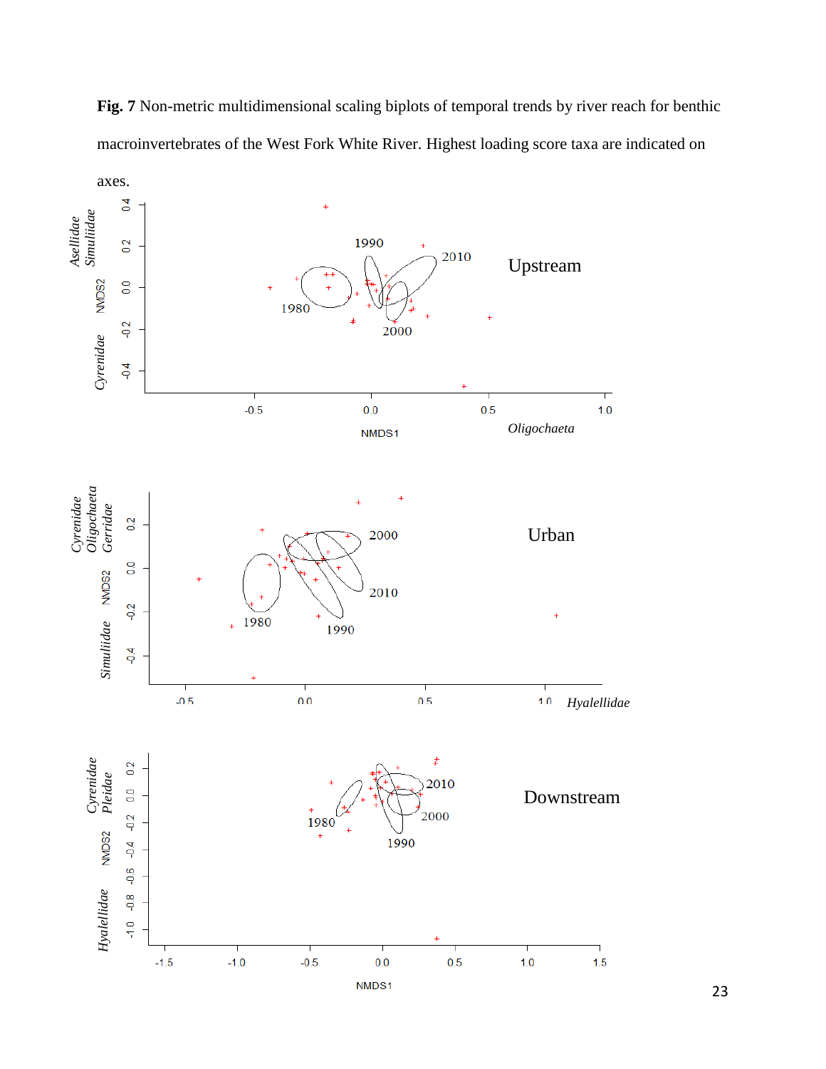

**Fig. 7** Non-metric multidimensional scaling biplots of temporal trends by river reach for benthic macroinvertebrates of the West Fork White River. Highest loading score taxa are indicated on